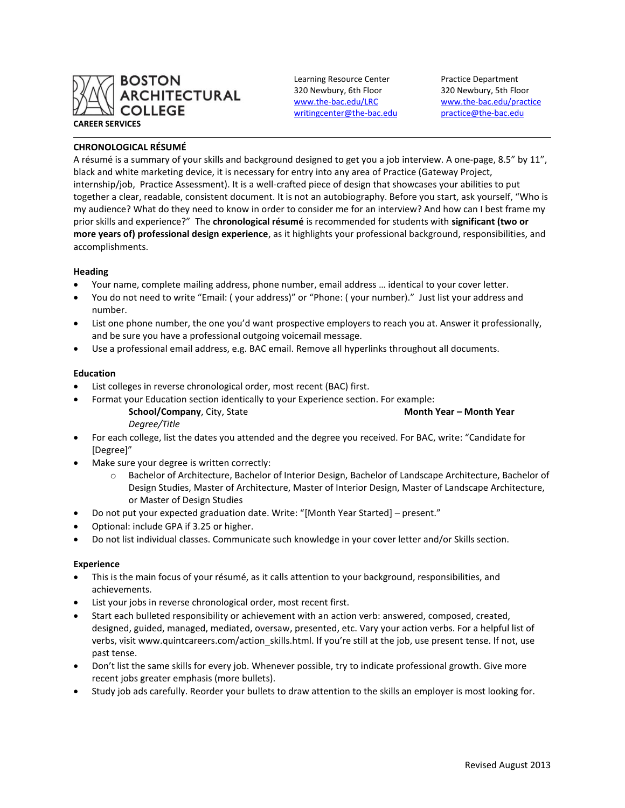

Learning Resource Center Practice Department 320 Newbury, 6th Floor 320 Newbury, 5th Floor [writingcenter@the-bac.edu](mailto:writingcenter@the-bac.edu) [practice@the-bac.edu](mailto:practice@the-bac.edu)

[www.the-bac.edu/LRC](http://www.the-bac.edu/LRC) [www.the-bac.edu/practice](http://www.the-bac.edu/practice)

# **CHRONOLOGICAL RÉSUMÉ**

A résumé is a summary of your skills and background designed to get you a job interview. A one-page, 8.5" by 11", black and white marketing device, it is necessary for entry into any area of Practice (Gateway Project, internship/job, Practice Assessment). It is a well-crafted piece of design that showcases your abilities to put together a clear, readable, consistent document. It is not an autobiography. Before you start, ask yourself, "Who is my audience? What do they need to know in order to consider me for an interview? And how can I best frame my prior skills and experience?" The **chronological résumé** is recommended for students with **significant (two or more years of) professional design experience**, as it highlights your professional background, responsibilities, and accomplishments.

## **Heading**

- Your name, complete mailing address, phone number, email address … identical to your cover letter.
- You do not need to write "Email: ( your address)" or "Phone: ( your number)." Just list your address and number.
- List one phone number, the one you'd want prospective employers to reach you at. Answer it professionally, and be sure you have a professional outgoing voicemail message.
- Use a professional email address, e.g. BAC email. Remove all hyperlinks throughout all documents.

## **Education**

- List colleges in reverse chronological order, most recent (BAC) first.
	- Format your Education section identically to your Experience section. For example:
		- **School/Company**, City, State **Month Year – Month Year** *Degree/Title*
- For each college, list the dates you attended and the degree you received. For BAC, write: "Candidate for [Degree]"
- Make sure your degree is written correctly:
	- o Bachelor of Architecture, Bachelor of Interior Design, Bachelor of Landscape Architecture, Bachelor of Design Studies, Master of Architecture, Master of Interior Design, Master of Landscape Architecture, or Master of Design Studies
- Do not put your expected graduation date. Write: "[Month Year Started] present."
- Optional: include GPA if 3.25 or higher.
- Do not list individual classes. Communicate such knowledge in your cover letter and/or Skills section.

## **Experience**

- This is the main focus of your résumé, as it calls attention to your background, responsibilities, and achievements.
- List your jobs in reverse chronological order, most recent first.
- Start each bulleted responsibility or achievement with an action verb: answered, composed, created, designed, guided, managed, mediated, oversaw, presented, etc. Vary your action verbs. For a helpful list of verbs, visit www.quintcareers.com/action skills.html. If you're still at the job, use present tense. If not, use past tense.
- Don't list the same skills for every job. Whenever possible, try to indicate professional growth. Give more recent jobs greater emphasis (more bullets).
- Study job ads carefully. Reorder your bullets to draw attention to the skills an employer is most looking for.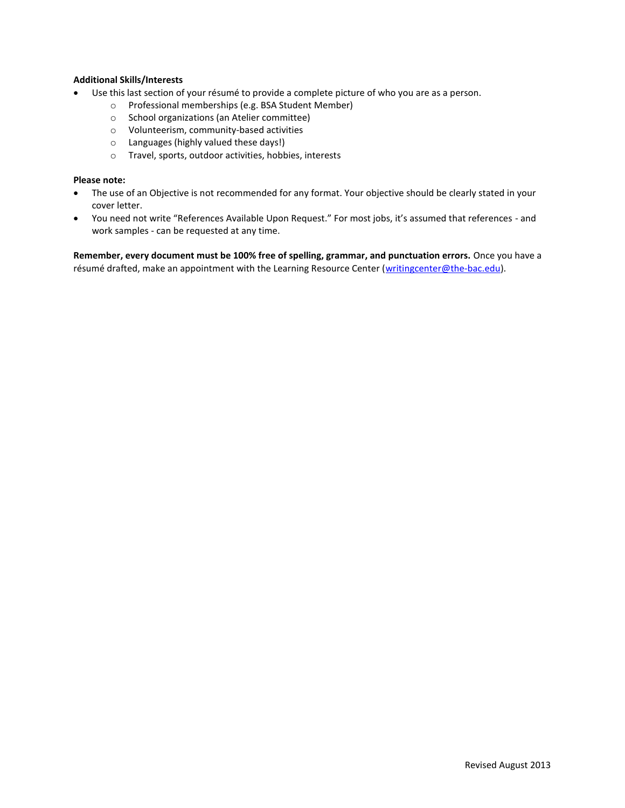## **Additional Skills/Interests**

- Use this last section of your résumé to provide a complete picture of who you are as a person.
	- o Professional memberships (e.g. BSA Student Member)
	- o School organizations (an Atelier committee)
	- o Volunteerism, community-based activities
	- o Languages (highly valued these days!)
	- o Travel, sports, outdoor activities, hobbies, interests

## **Please note:**

- The use of an Objective is not recommended for any format. Your objective should be clearly stated in your cover letter.
- You need not write "References Available Upon Request." For most jobs, it's assumed that references and work samples - can be requested at any time.

**Remember, every document must be 100% free of spelling, grammar, and punctuation errors.** Once you have a résumé drafted, make an appointment with the Learning Resource Center [\(writingcenter@the-bac.edu\)](mailto:writingcenter@the-bac.edu).